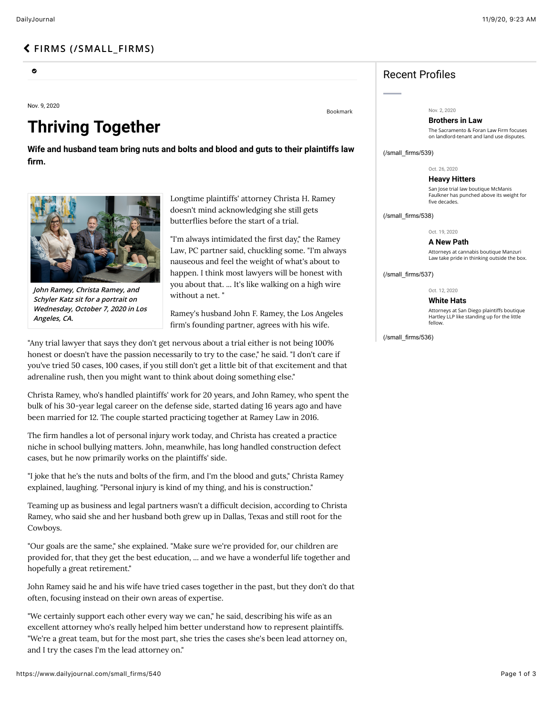## " **[FIRMS \(/SMALL\\_FIRMS\)](https://www.dailyjournal.com/small_firms)**

 $\bullet$ 

Nov. 9, 2020

# **Thriving Together**

**Wife and husband team bring nuts and bolts and blood and guts to their plaintiffs law** firm.



**John Ramey, Christa Ramey, and Schyler Katz sit for a portrait on Wednesday, October 7, 2020 in Los Angeles, CA.**

Longtime plaintiffs' attorney Christa H. Ramey doesn't mind acknowledging she still gets butterflies before the start of a trial.

"I'm always intimidated the first day," the Ramey Law, PC partner said, chuckling some. "I'm always nauseous and feel the weight of what's about to happen. I think most lawyers will be honest with you about that. ... It's like walking on a high wire without a net. "

Ramey's husband John F. Ramey, the Los Angeles firm's founding partner, agrees with his wife.

"Any trial lawyer that says they don't get nervous about a trial either is not being 100% honest or doesn't have the passion necessarily to try to the case," he said. "I don't care if you've tried 50 cases, 100 cases, if you still don't get a little bit of that excitement and that adrenaline rush, then you might want to think about doing something else."

Christa Ramey, who's handled plaintiffs' work for 20 years, and John Ramey, who spent the bulk of his 30-year legal career on the defense side, started dating 16 years ago and have been married for 12. The couple started practicing together at Ramey Law in 2016.

The firm handles a lot of personal injury work today, and Christa has created a practice niche in school bullying matters. John, meanwhile, has long handled construction defect cases, but he now primarily works on the plaintiffs' side.

"I joke that he's the nuts and bolts of the firm, and I'm the blood and guts," Christa Ramey explained, laughing. "Personal injury is kind of my thing, and his is construction."

Teaming up as business and legal partners wasn't a difficult decision, according to Christa Ramey, who said she and her husband both grew up in Dallas, Texas and still root for the Cowboys.

"Our goals are the same," she explained. "Make sure we're provided for, our children are provided for, that they get the best education, ... and we have a wonderful life together and hopefully a great retirement."

John Ramey said he and his wife have tried cases together in the past, but they don't do that often, focusing instead on their own areas of expertise.

"We certainly support each other every way we can," he said, describing his wife as an excellent attorney who's really helped him better understand how to represent plaintiffs. "We're a great team, but for the most part, she tries the cases she's been lead attorney on, and I try the cases I'm the lead attorney on."

[Bookmark](https://www.dailyjournal.com/small_firms/540%23)

**Recent Profiles** 

Nov. 2, 2020

#### **Brothers in Law**

[The Sacramento & Foran Law Firm focuses](https://www.dailyjournal.com/small_firms/539) on landlord-tenant and land use disputes.

(/small\_firms/539)

Oct. 26, 2020

#### **Heavy Hitters**

San Jose trial law boutique McManis Faulkner has punched above its weight for five decades.

(/small\_firms/538)

Oct. 19, 2020

#### **A New Path**

Attorneys at cannabis boutique Manzuri Law take pride in thinking outside the box.

(/small\_firms/537)

Oct. 12, 2020

#### **White Hats**

Attorneys at San Diego plaintiffs boutique Hartley LLP like standing up for the little fellow.

(/small\_firms/536)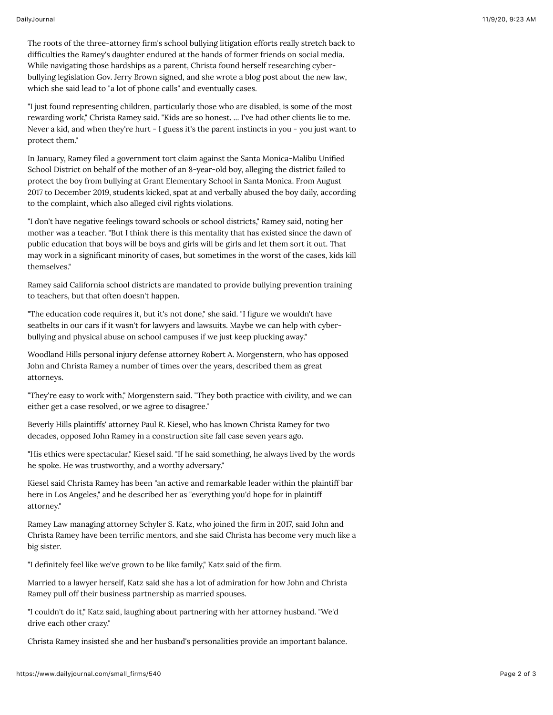The roots of the three-attorney firm's school bullying litigation efforts really stretch back to difficulties the Ramey's daughter endured at the hands of former friends on social media. While navigating those hardships as a parent, Christa found herself researching cyberbullying legislation Gov. Jerry Brown signed, and she wrote a blog post about the new law, which she said lead to "a lot of phone calls" and eventually cases.

"I just found representing children, particularly those who are disabled, is some of the most rewarding work," Christa Ramey said. "Kids are so honest. ... I've had other clients lie to me. Never a kid, and when they're hurt - I guess it's the parent instincts in you - you just want to protect them."

In January, Ramey filed a government tort claim against the Santa Monica-Malibu Unified School District on behalf of the mother of an 8-year-old boy, alleging the district failed to protect the boy from bullying at Grant Elementary School in Santa Monica. From August 2017 to December 2019, students kicked, spat at and verbally abused the boy daily, according to the complaint, which also alleged civil rights violations.

"I don't have negative feelings toward schools or school districts," Ramey said, noting her mother was a teacher. "But I think there is this mentality that has existed since the dawn of public education that boys will be boys and girls will be girls and let them sort it out. That may work in a significant minority of cases, but sometimes in the worst of the cases, kids kill themselves."

Ramey said California school districts are mandated to provide bullying prevention training to teachers, but that often doesn't happen.

"The education code requires it, but it's not done," she said. "I figure we wouldn't have seatbelts in our cars if it wasn't for lawyers and lawsuits. Maybe we can help with cyberbullying and physical abuse on school campuses if we just keep plucking away."

Woodland Hills personal injury defense attorney Robert A. Morgenstern, who has opposed John and Christa Ramey a number of times over the years, described them as great attorneys.

"They're easy to work with," Morgenstern said. "They both practice with civility, and we can either get a case resolved, or we agree to disagree."

Beverly Hills plaintiffs' attorney Paul R. Kiesel, who has known Christa Ramey for two decades, opposed John Ramey in a construction site fall case seven years ago.

"His ethics were spectacular," Kiesel said. "If he said something, he always lived by the words he spoke. He was trustworthy, and a worthy adversary."

Kiesel said Christa Ramey has been "an active and remarkable leader within the plaintiff bar here in Los Angeles," and he described her as "everything you'd hope for in plaintiff attorney."

Ramey Law managing attorney Schyler S. Katz, who joined the firm in 2017, said John and Christa Ramey have been terrific mentors, and she said Christa has become very much like a big sister.

"I definitely feel like we've grown to be like family," Katz said of the firm.

Married to a lawyer herself, Katz said she has a lot of admiration for how John and Christa Ramey pull off their business partnership as married spouses.

"I couldn't do it," Katz said, laughing about partnering with her attorney husband. "We'd drive each other crazy."

Christa Ramey insisted she and her husband's personalities provide an important balance.